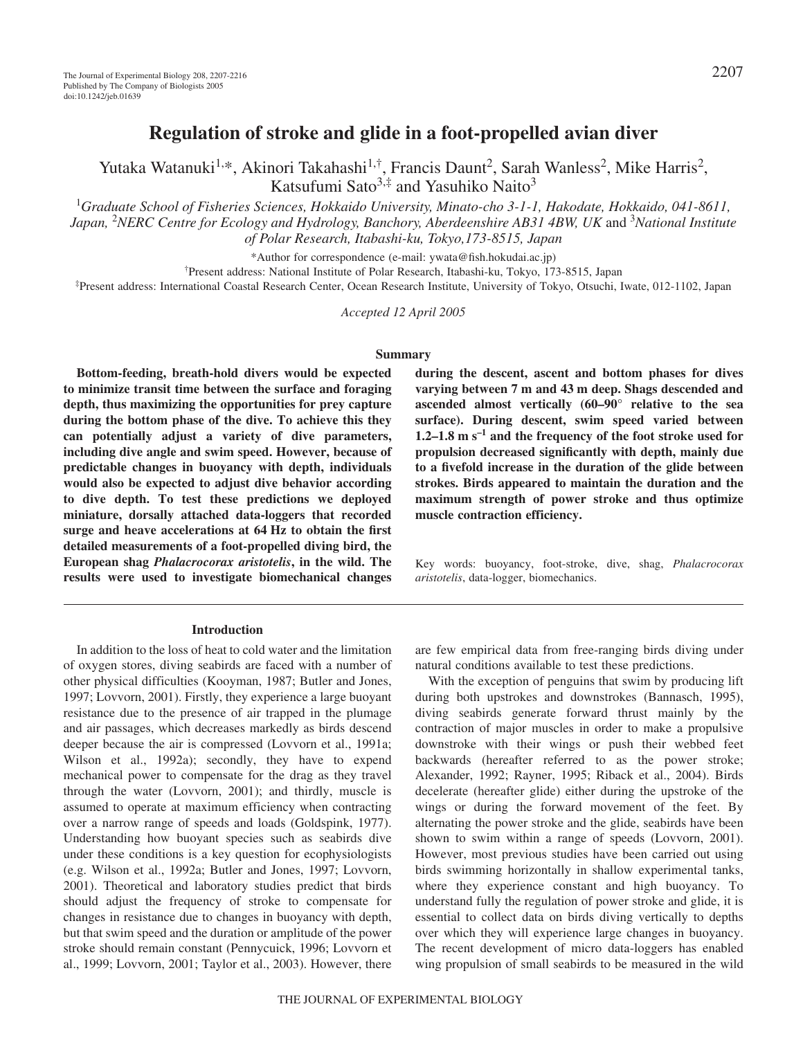Yutaka Watanuki<sup>1,\*</sup>, Akinori Takahashi<sup>1,†</sup>, Francis Daunt<sup>2</sup>, Sarah Wanless<sup>2</sup>, Mike Harris<sup>2</sup>, Katsufumi Sato<sup>3,‡</sup> and Yasuhiko Naito<sup>3</sup>

1 *Graduate School of Fisheries Sciences, Hokkaido University, Minato-cho 3-1-1, Hakodate, Hokkaido, 041-8611,* Japan, <sup>2</sup>NERC Centre for Ecology and Hydrology, Banchory, Aberdeenshire AB31 4BW, UK and <sup>3</sup>National Institute *of Polar Research, Itabashi-ku, Tokyo,173-8515, Japan*

\*Author for correspondence (e-mail: ywata@fish.hokudai.ac.jp)

† Present address: National Institute of Polar Research, Itabashi-ku, Tokyo, 173-8515, Japan ‡ Present address: International Coastal Research Center, Ocean Research Institute, University of Tokyo, Otsuchi, Iwate, 012-1102, Japan

*Accepted 12 April 2005*

**Summary**

## **Bottom-feeding, breath-hold divers would be expected to minimize transit time between the surface and foraging depth, thus maximizing the opportunities for prey capture during the bottom phase of the dive. To achieve this they can potentially adjust a variety of dive parameters, including dive angle and swim speed. However, because of predictable changes in buoyancy with depth, individuals would also be expected to adjust dive behavior according to dive depth. To test these predictions we deployed miniature, dorsally attached data-loggers that recorded** surge and heave accelerations at 64 Hz to obtain the first **detailed measurements of a foot-propelled diving bird, the European shag** *Phalacrocorax aristotelis***, in the wild. The results were used to investigate biomechanical changes**

#### **Introduction**

In addition to the loss of heat to cold water and the limitation of oxygen stores, diving seabirds are faced with a number of other physical difficulties (Kooyman, 1987; Butler and Jones, 1997; Lovvorn, 2001). Firstly, they experience a large buoyant resistance due to the presence of air trapped in the plumage and air passages, which decreases markedly as birds descend deeper because the air is compressed (Lovvorn et al., 1991a; Wilson et al., 1992a); secondly, they have to expend mechanical power to compensate for the drag as they travel through the water (Lovvorn, 2001); and thirdly, muscle is assumed to operate at maximum efficiency when contracting over a narrow range of speeds and loads (Goldspink, 1977). Understanding how buoyant species such as seabirds dive under these conditions is a key question for ecophysiologists (e.g. Wilson et al., 1992a; Butler and Jones, 1997; Lovvorn, 2001). Theoretical and laboratory studies predict that birds should adjust the frequency of stroke to compensate for changes in resistance due to changes in buoyancy with depth, but that swim speed and the duration or amplitude of the power stroke should remain constant (Pennycuick, 1996; Lovvorn et al., 1999; Lovvorn, 2001; Taylor et al., 2003). However, there

**during the descent, ascent and bottom phases for dives** varying between 7 m and 43 m deep. Shags descended and **ascended almost vertically (60–90° relative to the sea surface). During descent, swim speed varied between 1.2–1.8·m·s–1 and the frequency of the foot stroke used for propulsion decreased significantly with depth, mainly due to a fivefold increase in the duration of the glide between strokes. Birds appeared to maintain the duration and the maximum strength of power stroke and thus optimize muscle contraction efficiency.**

Key words: buoyancy, foot-stroke, dive, shag, *Phalacrocorax aristotelis*, data-logger, biomechanics.

are few empirical data from free-ranging birds diving under natural conditions available to test these predictions.

With the exception of penguins that swim by producing lift during both upstrokes and downstrokes (Bannasch, 1995), diving seabirds generate forward thrust mainly by the contraction of major muscles in order to make a propulsive downstroke with their wings or push their webbed feet backwards (hereafter referred to as the power stroke; Alexander, 1992; Rayner, 1995; Riback et al., 2004). Birds decelerate (hereafter glide) either during the upstroke of the wings or during the forward movement of the feet. By alternating the power stroke and the glide, seabirds have been shown to swim within a range of speeds (Lovvorn, 2001). However, most previous studies have been carried out using birds swimming horizontally in shallow experimental tanks, where they experience constant and high buoyancy. To understand fully the regulation of power stroke and glide, it is essential to collect data on birds diving vertically to depths over which they will experience large changes in buoyancy. The recent development of micro data-loggers has enabled wing propulsion of small seabirds to be measured in the wild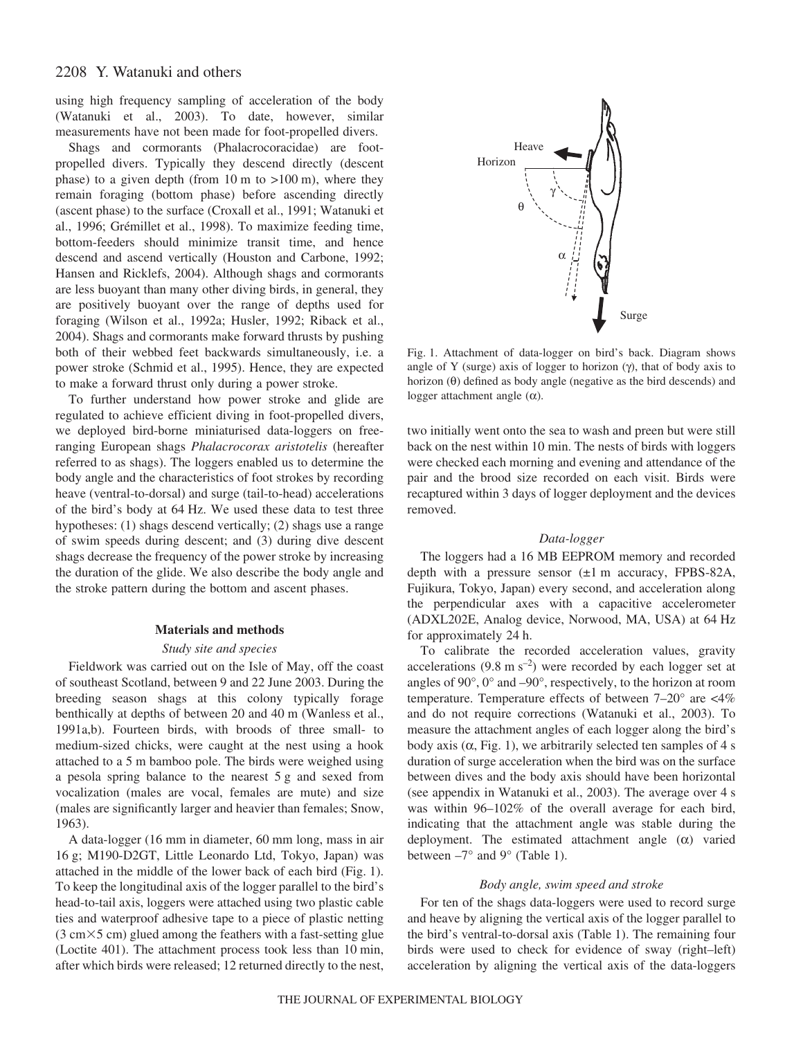# 2208 Y. Watanuki and others

using high frequency sampling of acceleration of the body (Watanuki et al., 2003). To date, however, similar measurements have not been made for foot-propelled divers.

Shags and cormorants (Phalacrocoracidae) are footpropelled divers. Typically they descend directly (descent phase) to a given depth (from  $10 \text{ m}$  to  $>100 \text{ m}$ ), where they remain foraging (bottom phase) before ascending directly (ascent phase) to the surface (Croxall et al., 1991; Watanuki et al., 1996; Grémillet et al., 1998). To maximize feeding time, bottom-feeders should minimize transit time, and hence descend and ascend vertically (Houston and Carbone, 1992; Hansen and Ricklefs, 2004). Although shags and cormorants are less buoyant than many other diving birds, in general, they are positively buoyant over the range of depths used for foraging (Wilson et al., 1992a; Husler, 1992; Riback et al., 2004). Shags and cormorants make forward thrusts by pushing both of their webbed feet backwards simultaneously, i.e. a power stroke (Schmid et al., 1995). Hence, they are expected to make a forward thrust only during a power stroke.

To further understand how power stroke and glide are regulated to achieve efficient diving in foot-propelled divers, we deployed bird-borne miniaturised data-loggers on freeranging European shags *Phalacrocorax aristotelis* (hereafter referred to as shags). The loggers enabled us to determine the body angle and the characteristics of foot strokes by recording heave (ventral-to-dorsal) and surge (tail-to-head) accelerations of the bird's body at 64 Hz. We used these data to test three hypotheses: (1) shags descend vertically; (2) shags use a range of swim speeds during descent; and (3) during dive descent shags decrease the frequency of the power stroke by increasing the duration of the glide. We also describe the body angle and the stroke pattern during the bottom and ascent phases.

#### **Materials and methods**

### *Study site and species*

Fieldwork was carried out on the Isle of May, off the coast of southeast Scotland, between 9 and 22 June 2003. During the breeding season shags at this colony typically forage benthically at depths of between 20 and 40 m (Wanless et al., 1991a,b). Fourteen birds, with broods of three small- to medium-sized chicks, were caught at the nest using a hook attached to a 5 m bamboo pole. The birds were weighed using a pesola spring balance to the nearest  $5g$  and sexed from vocalization (males are vocal, females are mute) and size (males are significantly larger and heavier than females; Snow, 1963).

A data-logger (16 mm in diameter, 60 mm long, mass in air 16 g; M190-D2GT, Little Leonardo Ltd, Tokyo, Japan) was attached in the middle of the lower back of each bird (Fig. 1). To keep the longitudinal axis of the logger parallel to the bird's head-to-tail axis, loggers were attached using two plastic cable ties and waterproof adhesive tape to a piece of plastic netting  $(3 cm \times 5 cm)$  glued among the feathers with a fast-setting glue (Loctite 401). The attachment process took less than 10 min, after which birds were released; 12 returned directly to the nest,



Fig. 1. Attachment of data-logger on bird's back. Diagram shows angle of Y (surge) axis of logger to horizon  $(γ)$ , that of body axis to horizon (θ) defined as body angle (negative as the bird descends) and logger attachment angle  $(\alpha)$ .

two initially went onto the sea to wash and preen but were still back on the nest within 10 min. The nests of birds with loggers were checked each morning and evening and attendance of the pair and the brood size recorded on each visit. Birds were recaptured within 3 days of logger deployment and the devices removed.

#### *Data-logger*

The loggers had a 16 MB EEPROM memory and recorded depth with a pressure sensor  $(\pm 1 \text{ m}$  accuracy, FPBS-82A, Fujikura, Tokyo, Japan) every second, and acceleration along the perpendicular axes with a capacitive accelerometer (ADXL202E, Analog device, Norwood, MA, USA) at 64 Hz for approximately 24 h.

To calibrate the recorded acceleration values, gravity accelerations  $(9.8 \text{ m s}^{-2})$  were recorded by each logger set at angles of 90°, 0° and –90°, respectively, to the horizon at room temperature. Temperature effects of between 7–20° are <4% and do not require corrections (Watanuki et al., 2003). To measure the attachment angles of each logger along the bird's body axis ( $\alpha$ , Fig. 1), we arbitrarily selected ten samples of 4 s duration of surge acceleration when the bird was on the surface between dives and the body axis should have been horizontal (see appendix in Watanuki et al., 2003). The average over 4 s was within 96–102% of the overall average for each bird, indicating that the attachment angle was stable during the deployment. The estimated attachment angle  $(\alpha)$  varied between  $-7^{\circ}$  and  $9^{\circ}$  (Table 1).

#### *Body angle, swim speed and stroke*

For ten of the shags data-loggers were used to record surge and heave by aligning the vertical axis of the logger parallel to the bird's ventral-to-dorsal axis (Table 1). The remaining four birds were used to check for evidence of sway (right–left) acceleration by aligning the vertical axis of the data-loggers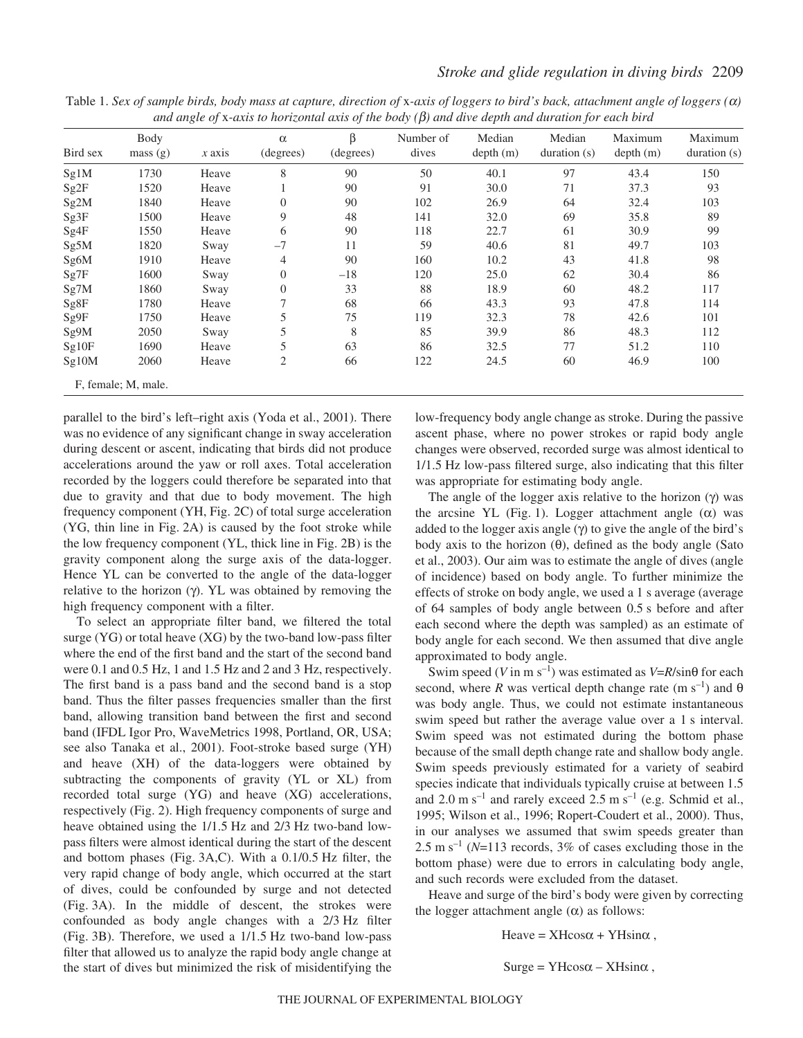| Bird sex | Body<br>mass(g)     | $x$ axis | $\alpha$<br>(degrees) | β<br>(degrees) | Number of<br>dives | Median<br>depth(m) | Median<br>duration (s) | Maximum<br>depth(m) | Maximum<br>duration $(s)$ |
|----------|---------------------|----------|-----------------------|----------------|--------------------|--------------------|------------------------|---------------------|---------------------------|
| Sg1M     | 1730                | Heave    | 8                     | 90             | 50                 | 40.1               | 97                     | 43.4                | 150                       |
| Sg2F     | 1520                | Heave    |                       | 90             | 91                 | 30.0               | 71                     | 37.3                | 93                        |
| Sg2M     | 1840                | Heave    | $\boldsymbol{0}$      | 90             | 102                | 26.9               | 64                     | 32.4                | 103                       |
| Sg3F     | 1500                | Heave    | 9                     | 48             | 141                | 32.0               | 69                     | 35.8                | 89                        |
| Sg4F     | 1550                | Heave    | 6                     | 90             | 118                | 22.7               | 61                     | 30.9                | 99                        |
| Sg5M     | 1820                | Sway     | $-7$                  | 11             | 59                 | 40.6               | 81                     | 49.7                | 103                       |
| Sg6M     | 1910                | Heave    | 4                     | 90             | 160                | 10.2               | 43                     | 41.8                | 98                        |
| Sg7F     | 1600                | Sway     | $\mathbf{0}$          | $-18$          | 120                | 25.0               | 62                     | 30.4                | 86                        |
| Sg7M     | 1860                | Sway     | $\mathbf{0}$          | 33             | 88                 | 18.9               | 60                     | 48.2                | 117                       |
| Sg8F     | 1780                | Heave    | 7                     | 68             | 66                 | 43.3               | 93                     | 47.8                | 114                       |
| Sg9F     | 1750                | Heave    | 5                     | 75             | 119                | 32.3               | 78                     | 42.6                | 101                       |
| Sg9M     | 2050                | Sway     | 5                     | 8              | 85                 | 39.9               | 86                     | 48.3                | 112                       |
| Sg10F    | 1690                | Heave    | 5                     | 63             | 86                 | 32.5               | 77                     | 51.2                | 110                       |
| Sg10M    | 2060                | Heave    | $\overline{2}$        | 66             | 122                | 24.5               | 60                     | 46.9                | 100                       |
|          | F, female; M, male. |          |                       |                |                    |                    |                        |                     |                           |

Table 1. *Sex of sample birds, body mass at capture, direction of x-axis of loggers to bird's back, attachment angle of loggers*  $(\alpha)$ *and angle of* x*-axis to horizontal axis of the body (*β*) and dive depth and duration for each bird*

parallel to the bird's left–right axis (Yoda et al., 2001). There was no evidence of any significant change in sway acceleration during descent or ascent, indicating that birds did not produce accelerations around the yaw or roll axes. Total acceleration recorded by the loggers could therefore be separated into that due to gravity and that due to body movement. The high frequency component (YH, Fig. 2C) of total surge acceleration  $(YG, thin line in Fig. 2A)$  is caused by the foot stroke while the low frequency component (YL, thick line in Fig. 2B) is the gravity component along the surge axis of the data-logger. Hence YL can be converted to the angle of the data-logger relative to the horizon  $(γ)$ . YL was obtained by removing the high frequency component with a filter.

To select an appropriate filter band, we filtered the total surge (YG) or total heave (XG) by the two-band low-pass filter where the end of the first band and the start of the second band were 0.1 and 0.5 Hz, 1 and 1.5 Hz and 2 and 3 Hz, respectively. The first band is a pass band and the second band is a stop band. Thus the filter passes frequencies smaller than the first band, allowing transition band between the first and second band (IFDL Igor Pro, WaveMetrics 1998, Portland, OR, USA; see also Tanaka et al., 2001). Foot-stroke based surge (YH) and heave (XH) of the data-loggers were obtained by subtracting the components of gravity (YL or XL) from recorded total surge (YG) and heave (XG) accelerations, respectively (Fig. 2). High frequency components of surge and heave obtained using the 1/1.5 Hz and 2/3 Hz two-band lowpass filters were almost identical during the start of the descent and bottom phases (Fig.  $3A$ ,C). With a 0.1/0.5 Hz filter, the very rapid change of body angle, which occurred at the start of dives, could be confounded by surge and not detected (Fig. 3A). In the middle of descent, the strokes were confounded as body angle changes with a  $2/3$  Hz filter (Fig. 3B). Therefore, we used a 1/1.5 Hz two-band low-pass filter that allowed us to analyze the rapid body angle change at the start of dives but minimized the risk of misidentifying the low-frequency body angle change as stroke. During the passive ascent phase, where no power strokes or rapid body angle changes were observed, recorded surge was almost identical to 1/1.5 Hz low-pass filtered surge, also indicating that this filter was appropriate for estimating body angle.

The angle of the logger axis relative to the horizon  $(γ)$  was the arcsine YL (Fig. 1). Logger attachment angle  $(\alpha)$  was added to the logger axis angle  $(\gamma)$  to give the angle of the bird's body axis to the horizon  $(\theta)$ , defined as the body angle (Sato et al., 2003). Our aim was to estimate the angle of dives (angle of incidence) based on body angle. To further minimize the effects of stroke on body angle, we used a 1 s average (average of 64 samples of body angle between 0.5 s before and after each second where the depth was sampled) as an estimate of body angle for each second. We then assumed that dive angle approximated to body angle.

Swim speed (*V* in m s<sup>-1</sup>) was estimated as  $V=R/\sin\theta$  for each second, where *R* was vertical depth change rate (m s<sup>-1</sup>) and  $\theta$ was body angle. Thus, we could not estimate instantaneous swim speed but rather the average value over a 1 s interval. Swim speed was not estimated during the bottom phase because of the small depth change rate and shallow body angle. Swim speeds previously estimated for a variety of seabird species indicate that individuals typically cruise at between 1.5 and 2.0 m s<sup>-1</sup> and rarely exceed 2.5 m s<sup>-1</sup> (e.g. Schmid et al., 1995; Wilson et al., 1996; Ropert-Coudert et al., 2000). Thus, in our analyses we assumed that swim speeds greater than 2.5 m s<sup>-1</sup> ( $N=113$  records, 3% of cases excluding those in the bottom phase) were due to errors in calculating body angle, and such records were excluded from the dataset.

Heave and surge of the bird's body were given by correcting the logger attachment angle  $(\alpha)$  as follows:

 $Heave = XHcos\alpha + YHsin\alpha$ ,

$$
Surge = YHcos\alpha - XHsin\alpha ,
$$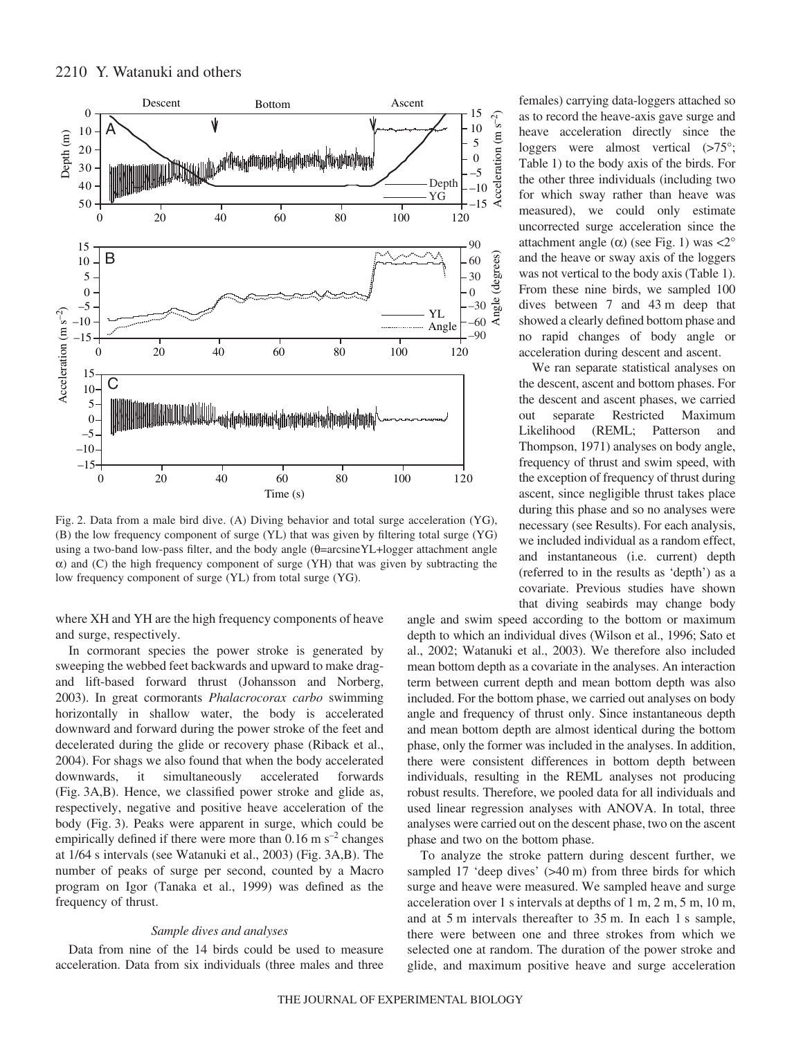

Fig. 2. Data from a male bird dive. (A) Diving behavior and total surge acceleration (YG), (B) the low frequency component of surge (YL) that was given by filtering total surge (YG) using a two-band low-pass filter, and the body angle (θ=arcsineYL+logger attachment angle  $\alpha$ ) and (C) the high frequency component of surge (YH) that was given by subtracting the low frequency component of surge (YL) from total surge (YG).

where XH and YH are the high frequency components of heave and surge, respectively.

In cormorant species the power stroke is generated by sweeping the webbed feet backwards and upward to make dragand lift-based forward thrust (Johansson and Norberg, 2003). In great cormorants *Phalacrocorax carbo* swimming horizontally in shallow water, the body is accelerated downward and forward during the power stroke of the feet and decelerated during the glide or recovery phase (Riback et al., 2004). For shags we also found that when the body accelerated downwards, it simultaneously accelerated forwards (Fig. 3A,B). Hence, we classified power stroke and glide as, respectively, negative and positive heave acceleration of the body (Fig. 3). Peaks were apparent in surge, which could be empirically defined if there were more than  $0.16 \text{ m s}^{-2}$  changes at 1/64 s intervals (see Watanuki et al., 2003) (Fig. 3A,B). The number of peaks of surge per second, counted by a Macro program on Igor (Tanaka et al., 1999) was defined as the frequency of thrust.

#### *Sample dives and analyses*

Data from nine of the 14 birds could be used to measure acceleration. Data from six individuals (three males and three

females) carrying data-loggers attached so as to record the heave-axis gave surge and heave acceleration directly since the loggers were almost vertical  $(>75^{\circ})$ ; Table 1) to the body axis of the birds. For the other three individuals (including two for which sway rather than heave was measured), we could only estimate uncorrected surge acceleration since the attachment angle (α) (see Fig. 1) was  $\langle 2^{\circ}$ and the heave or sway axis of the loggers was not vertical to the body axis (Table 1). From these nine birds, we sampled 100 dives between 7 and 43 m deep that showed a clearly defined bottom phase and no rapid changes of body angle or acceleration during descent and ascent.

We ran separate statistical analyses on the descent, ascent and bottom phases. For the descent and ascent phases, we carried out separate Restricted Maximum Likelihood (REML; Patterson and Thompson, 1971) analyses on body angle, frequency of thrust and swim speed, with the exception of frequency of thrust during ascent, since negligible thrust takes place during this phase and so no analyses were necessary (see Results). For each analysis, we included individual as a random effect, and instantaneous (i.e. current) depth (referred to in the results as 'depth') as a covariate. Previous studies have shown that diving seabirds may change body

angle and swim speed according to the bottom or maximum depth to which an individual dives (Wilson et al., 1996; Sato et al., 2002; Watanuki et al., 2003). We therefore also included mean bottom depth as a covariate in the analyses. An interaction term between current depth and mean bottom depth was also included. For the bottom phase, we carried out analyses on body angle and frequency of thrust only. Since instantaneous depth and mean bottom depth are almost identical during the bottom phase, only the former was included in the analyses. In addition, there were consistent differences in bottom depth between individuals, resulting in the REML analyses not producing robust results. Therefore, we pooled data for all individuals and used linear regression analyses with ANOVA. In total, three analyses were carried out on the descent phase, two on the ascent phase and two on the bottom phase.

To analyze the stroke pattern during descent further, we sampled 17 'deep dives' (>40 m) from three birds for which surge and heave were measured. We sampled heave and surge acceleration over 1 s intervals at depths of 1 m, 2 m, 5 m, 10 m, and at  $5 \text{ m}$  intervals thereafter to  $35 \text{ m}$ . In each 1 s sample, there were between one and three strokes from which we selected one at random. The duration of the power stroke and glide, and maximum positive heave and surge acceleration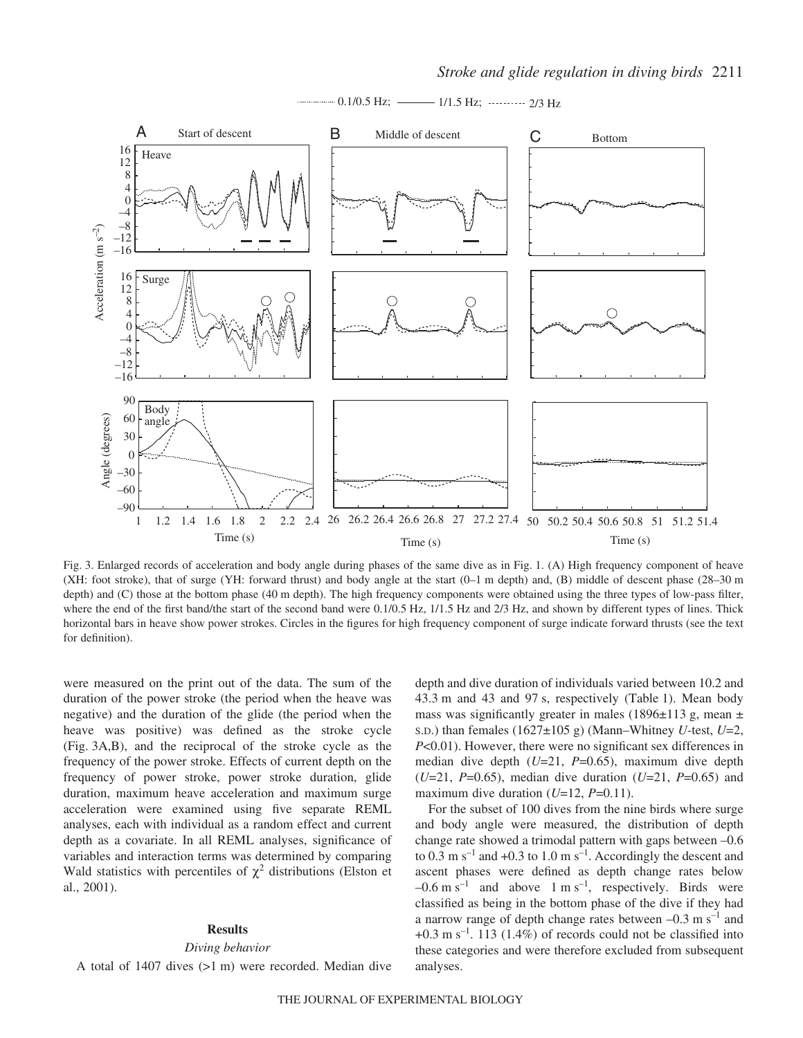

0.1/0.5 Hz;  $\frac{1}{1.5}$  Hz;  $\frac{1}{1.5}$  Hz;  $\frac{1}{2/3}$  Hz

Fig. 3. Enlarged records of acceleration and body angle during phases of the same dive as in Fig. 1. (A) High frequency component of heave (XH: foot stroke), that of surge (YH: forward thrust) and body angle at the start  $(0-1 \text{ m depth})$  and,  $(B)$  middle of descent phase  $(28-30 \text{ m})$ depth) and (C) those at the bottom phase (40 m depth). The high frequency components were obtained using the three types of low-pass filter, where the end of the first band/the start of the second band were  $0.1/0.5$  Hz,  $1/1.5$  Hz and  $2/3$  Hz, and shown by different types of lines. Thick horizontal bars in heave show power strokes. Circles in the figures for high frequency component of surge indicate forward thrusts (see the text for definition).

were measured on the print out of the data. The sum of the duration of the power stroke (the period when the heave was negative) and the duration of the glide (the period when the heave was positive) was defined as the stroke cycle (Fig. 3A,B), and the reciprocal of the stroke cycle as the frequency of the power stroke. Effects of current depth on the frequency of power stroke, power stroke duration, glide duration, maximum heave acceleration and maximum surge acceleration were examined using five separate REML analyses, each with individual as a random effect and current depth as a covariate. In all REML analyses, significance of variables and interaction terms was determined by comparing Wald statistics with percentiles of  $\chi^2$  distributions (Elston et al., 2001).

### **Results**

# *Diving behavior*

A total of  $1407$  dives  $(>1~\text{m})$  were recorded. Median dive

depth and dive duration of individuals varied between 10.2 and 43.3 m and 43 and 97 s, respectively (Table 1). Mean body mass was significantly greater in males (1896 $\pm$ 113 g, mean  $\pm$ s.d.) than females  $(1627 \pm 105)$  g) (Mann–Whitney *U*-test, *U*=2, *P*<0.01). However, there were no significant sex differences in median dive depth (*U*=21, *P*=0.65), maximum dive depth (*U*=21, *P*=0.65), median dive duration (*U*=21, *P*=0.65) and maximum dive duration  $(U=12, P=0.11)$ .

For the subset of 100 dives from the nine birds where surge and body angle were measured, the distribution of depth change rate showed a trimodal pattern with gaps between –0.6 to 0.3 m s<sup>-1</sup> and +0.3 to 1.0 m s<sup>-1</sup>. Accordingly the descent and ascent phases were defined as depth change rates below  $-0.6 \text{ m s}^{-1}$  and above  $1 \text{ m s}^{-1}$ , respectively. Birds were classified as being in the bottom phase of the dive if they had a narrow range of depth change rates between  $-0.3 \text{ m s}^{-1}$  and  $+0.3 \text{ m s}^{-1}$ . 113 (1.4%) of records could not be classified into these categories and were therefore excluded from subsequent analyses.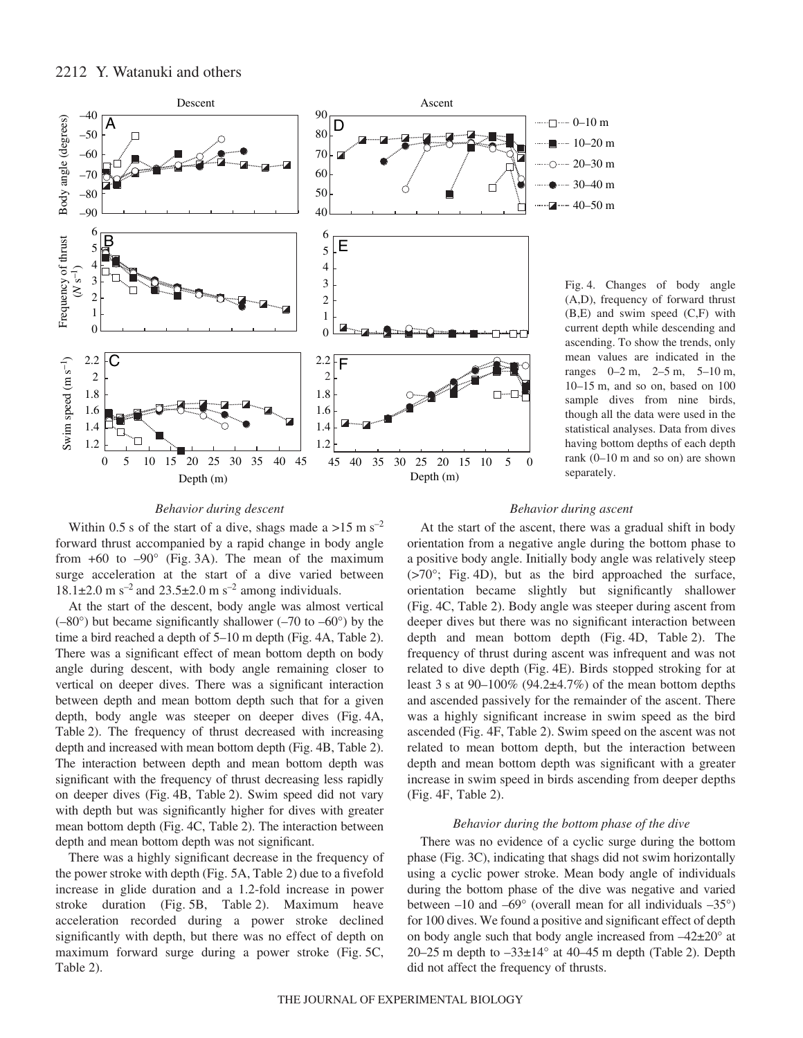

### Fig. 4. Changes of body angle (A,D), frequency of forward thrust (B,E) and swim speed (C,F) with current depth while descending and ascending. To show the trends, only mean values are indicated in the ranges  $0-2$  m,  $2-5$  m,  $5-10$  m,  $10-15$  m, and so on, based on  $100$ sample dives from nine birds, though all the data were used in the statistical analyses. Data from dives having bottom depths of each depth rank  $(0-10$  m and so on) are shown separately.

### *Behavior during descent*

Within 0.5 s of the start of a dive, shags made a >15 m s<sup>-2</sup> forward thrust accompanied by a rapid change in body angle from  $+60$  to  $-90^{\circ}$  (Fig. 3A). The mean of the maximum surge acceleration at the start of a dive varied between  $18.1\pm2.0~\text{m s}^{-2}$  and  $23.5\pm2.0~\text{m s}^{-2}$  among individuals.

At the start of the descent, body angle was almost vertical  $(-80^{\circ})$  but became significantly shallower  $(-70 \text{ to } -60^{\circ})$  by the time a bird reached a depth of  $5-10$  m depth (Fig. 4A, Table 2). There was a significant effect of mean bottom depth on body angle during descent, with body angle remaining closer to vertical on deeper dives. There was a significant interaction between depth and mean bottom depth such that for a given depth, body angle was steeper on deeper dives (Fig. 4A, Table 2). The frequency of thrust decreased with increasing depth and increased with mean bottom depth (Fig. 4B, Table 2). The interaction between depth and mean bottom depth was significant with the frequency of thrust decreasing less rapidly on deeper dives (Fig. 4B, Table 2). Swim speed did not vary with depth but was significantly higher for dives with greater mean bottom depth (Fig. 4C, Table 2). The interaction between depth and mean bottom depth was not significant.

There was a highly significant decrease in the frequency of the power stroke with depth (Fig. 5A, Table 2) due to a fivefold increase in glide duration and a 1.2-fold increase in power stroke duration (Fig. 5B, Table 2). Maximum heave acceleration recorded during a power stroke declined significantly with depth, but there was no effect of depth on maximum forward surge during a power stroke (Fig. 5C, Table 2).

#### *Behavior during ascent*

At the start of the ascent, there was a gradual shift in body orientation from a negative angle during the bottom phase to a positive body angle. Initially body angle was relatively steep  $(570^{\circ}; \text{ Fig. 4D})$ , but as the bird approached the surface, orientation became slightly but significantly shallower (Fig. 4C, Table 2). Body angle was steeper during ascent from deeper dives but there was no significant interaction between depth and mean bottom depth (Fig. 4D, Table 2). The frequency of thrust during ascent was infrequent and was not related to dive depth (Fig. 4E). Birds stopped stroking for at least 3 s at  $90-100\%$  (94.2 $\pm$ 4.7%) of the mean bottom depths and ascended passively for the remainder of the ascent. There was a highly significant increase in swim speed as the bird ascended (Fig. 4F, Table 2). Swim speed on the ascent was not related to mean bottom depth, but the interaction between depth and mean bottom depth was significant with a greater increase in swim speed in birds ascending from deeper depths  $(Fig. 4F, Table 2).$ 

### *Behavior during the bottom phase of the dive*

There was no evidence of a cyclic surge during the bottom phase (Fig. 3C), indicating that shags did not swim horizontally using a cyclic power stroke. Mean body angle of individuals during the bottom phase of the dive was negative and varied between  $-10$  and  $-69^{\circ}$  (overall mean for all individuals  $-35^{\circ}$ ) for 100 dives. We found a positive and significant effect of depth on body angle such that body angle increased from  $-42\pm20^{\circ}$  at 20–25 m depth to  $-33\pm14^{\circ}$  at 40–45 m depth (Table 2). Depth did not affect the frequency of thrusts.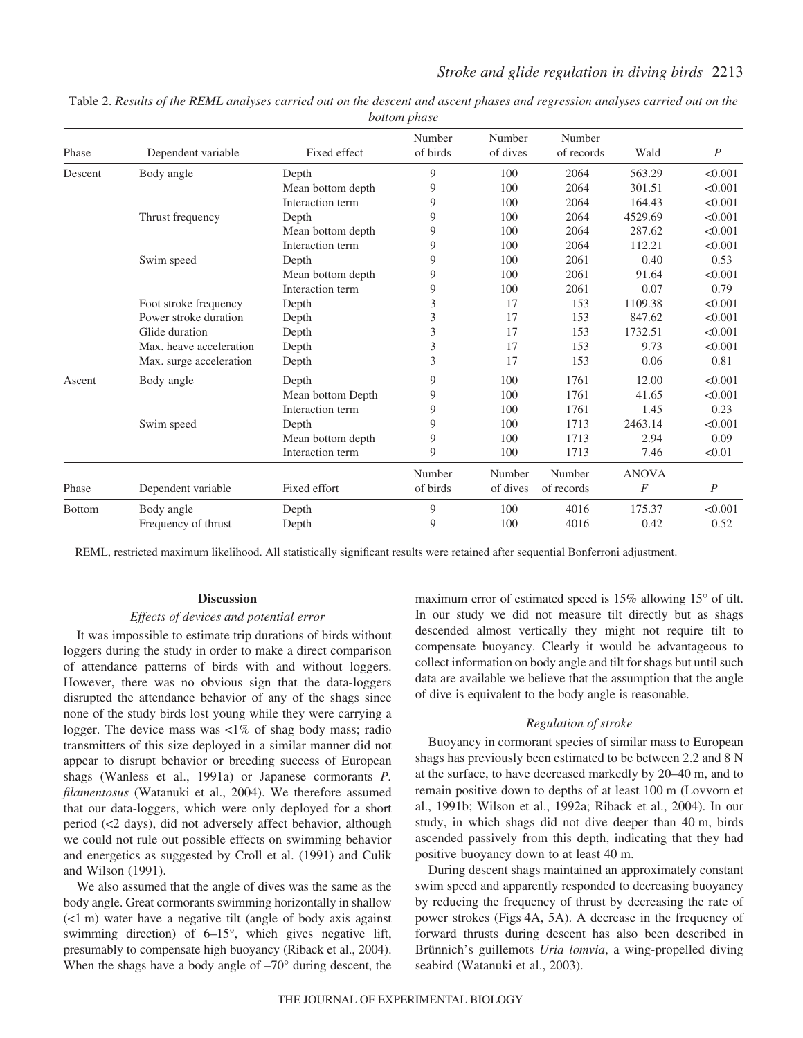| Phase         | Dependent variable      | Fixed effect      | Number<br>of birds | Number<br>of dives | Number<br>of records | Wald         | $\overline{P}$ |
|---------------|-------------------------|-------------------|--------------------|--------------------|----------------------|--------------|----------------|
| Descent       | Body angle              | Depth             | 9                  | 100                | 2064                 | 563.29       | < 0.001        |
|               |                         | Mean bottom depth | 9                  | 100                | 2064                 | 301.51       | < 0.001        |
|               |                         | Interaction term  | 9                  | 100                | 2064                 | 164.43       | < 0.001        |
|               | Thrust frequency        | Depth             | 9                  | 100                | 2064                 | 4529.69      | < 0.001        |
|               |                         | Mean bottom depth | 9                  | 100                | 2064                 | 287.62       | < 0.001        |
|               |                         | Interaction term  | 9                  | 100                | 2064                 | 112.21       | < 0.001        |
|               | Swim speed              | Depth             | 9                  | 100                | 2061                 | 0.40         | 0.53           |
|               |                         | Mean bottom depth | 9                  | 100                | 2061                 | 91.64        | < 0.001        |
|               |                         | Interaction term  | 9                  | 100                | 2061                 | 0.07         | 0.79           |
|               | Foot stroke frequency   | Depth             | 3                  | 17                 | 153                  | 1109.38      | < 0.001        |
|               | Power stroke duration   | Depth             | 3                  | 17                 | 153                  | 847.62       | < 0.001        |
|               | Glide duration          | Depth             | 3                  | 17                 | 153                  | 1732.51      | < 0.001        |
|               | Max. heave acceleration | Depth             | 3                  | 17                 | 153                  | 9.73         | < 0.001        |
|               | Max. surge acceleration | Depth             | 3                  | 17                 | 153                  | 0.06         | 0.81           |
| Ascent        | Body angle              | Depth             | 9                  | 100                | 1761                 | 12.00        | < 0.001        |
|               |                         | Mean bottom Depth | 9                  | 100                | 1761                 | 41.65        | < 0.001        |
|               |                         | Interaction term  | 9                  | 100                | 1761                 | 1.45         | 0.23           |
|               | Swim speed              | Depth             | 9                  | 100                | 1713                 | 2463.14      | < 0.001        |
|               |                         | Mean bottom depth | 9                  | 100                | 1713                 | 2.94         | 0.09           |
|               |                         | Interaction term  | 9                  | 100                | 1713                 | 7.46         | < 0.01         |
|               |                         |                   | Number             | Number             | Number               | <b>ANOVA</b> |                |
| Phase         | Dependent variable      | Fixed effort      | of birds           | of dives           | of records           | F            | P              |
| <b>Bottom</b> | Body angle              | Depth             | 9                  | 100                | 4016                 | 175.37       | < 0.001        |
|               | Frequency of thrust     | Depth             | 9                  | 100                | 4016                 | 0.42         | 0.52           |

Table 2. Results of the REML analyses carried out on the descent and ascent phases and regression analyses carried out on the *bottom phase*

REML, restricted maximum likelihood. All statistically significant results were retained after sequential Bonferroni adjustment.

#### **Discussion**

#### *Effects of devices and potential error*

It was impossible to estimate trip durations of birds without loggers during the study in order to make a direct comparison of attendance patterns of birds with and without loggers. However, there was no obvious sign that the data-loggers disrupted the attendance behavior of any of the shags since none of the study birds lost young while they were carrying a logger. The device mass was  $\langle 1\% \rangle$  of shag body mass; radio transmitters of this size deployed in a similar manner did not appear to disrupt behavior or breeding success of European shags (Wanless et al., 1991a) or Japanese cormorants *P. filamentosus* (Watanuki et al., 2004). We therefore assumed that our data-loggers, which were only deployed for a short period (<2 days), did not adversely affect behavior, although we could not rule out possible effects on swimming behavior and energetics as suggested by Croll et al. (1991) and Culik and Wilson (1991).

We also assumed that the angle of dives was the same as the body angle. Great cormorants swimming horizontally in shallow  $(\leq 1 \text{ m})$  water have a negative tilt (angle of body axis against swimming direction) of 6–15°, which gives negative lift, presumably to compensate high buoyancy (Riback et al., 2004). When the shags have a body angle of  $-70^{\circ}$  during descent, the maximum error of estimated speed is 15% allowing 15° of tilt. In our study we did not measure tilt directly but as shags descended almost vertically they might not require tilt to compensate buoyancy. Clearly it would be advantageous to collect information on body angle and tilt for shags but until such data are available we believe that the assumption that the angle of dive is equivalent to the body angle is reasonable.

#### *Regulation of stroke*

Buoyancy in cormorant species of similar mass to European shags has previously been estimated to be between 2.2 and 8 N at the surface, to have decreased markedly by 20–40 m, and to remain positive down to depths of at least 100 m (Lovvorn et al., 1991b; Wilson et al., 1992a; Riback et al., 2004). In our study, in which shags did not dive deeper than 40 m, birds ascended passively from this depth, indicating that they had positive buoyancy down to at least 40 m.

During descent shags maintained an approximately constant swim speed and apparently responded to decreasing buoyancy by reducing the frequency of thrust by decreasing the rate of power strokes (Figs·4A, 5A). A decrease in the frequency of forward thrusts during descent has also been described in Brünnich's guillemots *Uria lomvia*, a wing-propelled diving seabird (Watanuki et al., 2003).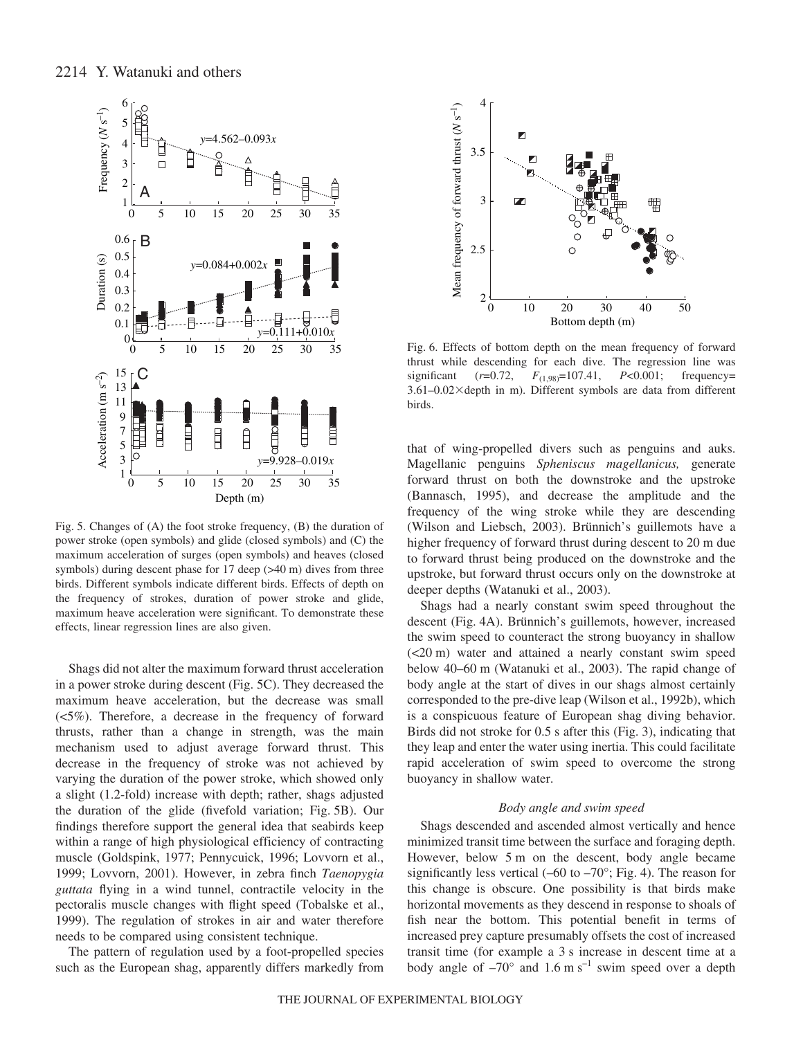

Fig. 5. Changes of  $(A)$  the foot stroke frequency,  $(B)$  the duration of power stroke (open symbols) and glide (closed symbols) and (C) the maximum acceleration of surges (open symbols) and heaves (closed symbols) during descent phase for  $17 \text{ deep } (\geq 40 \text{ m})$  dives from three birds. Different symbols indicate different birds. Effects of depth on the frequency of strokes, duration of power stroke and glide, maximum heave acceleration were significant. To demonstrate these effects, linear regression lines are also given.

Shags did not alter the maximum forward thrust acceleration in a power stroke during descent (Fig. 5C). They decreased the maximum heave acceleration, but the decrease was small (<5%). Therefore, a decrease in the frequency of forward thrusts, rather than a change in strength, was the main mechanism used to adjust average forward thrust. This decrease in the frequency of stroke was not achieved by varying the duration of the power stroke, which showed only a slight (1.2-fold) increase with depth; rather, shags adjusted the duration of the glide (fivefold variation; Fig. 5B). Our findings therefore support the general idea that seabirds keep within a range of high physiological efficiency of contracting muscle (Goldspink, 1977; Pennycuick, 1996; Lovvorn et al., 1999; Lovvorn, 2001). However, in zebra finch *Taenopygia guttata* flying in a wind tunnel, contractile velocity in the pectoralis muscle changes with flight speed (Tobalske et al., 1999). The regulation of strokes in air and water therefore needs to be compared using consistent technique.

The pattern of regulation used by a foot-propelled species such as the European shag, apparently differs markedly from



Fig. 6. Effects of bottom depth on the mean frequency of forward thrust while descending for each dive. The regression line was significant (*r*=0.72, *F*(1,98)=107.41, *P*<0.001; frequency=  $3.61 - 0.02 \times$ depth in m). Different symbols are data from different birds.

that of wing-propelled divers such as penguins and auks. Magellanic penguins *Spheniscus magellanicus,* generate forward thrust on both the downstroke and the upstroke (Bannasch, 1995), and decrease the amplitude and the frequency of the wing stroke while they are descending (Wilson and Liebsch, 2003). Brünnich's guillemots have a higher frequency of forward thrust during descent to 20 m due to forward thrust being produced on the downstroke and the upstroke, but forward thrust occurs only on the downstroke at deeper depths (Watanuki et al., 2003).

Shags had a nearly constant swim speed throughout the descent (Fig. 4A). Brünnich's guillemots, however, increased the swim speed to counteract the strong buoyancy in shallow  $(<20 \text{ m})$  water and attained a nearly constant swim speed below 40–60 m (Watanuki et al., 2003). The rapid change of body angle at the start of dives in our shags almost certainly corresponded to the pre-dive leap (Wilson et al., 1992b), which is a conspicuous feature of European shag diving behavior. Birds did not stroke for 0.5 s after this (Fig. 3), indicating that they leap and enter the water using inertia. This could facilitate rapid acceleration of swim speed to overcome the strong buoyancy in shallow water.

#### *Body angle and swim speed*

Shags descended and ascended almost vertically and hence minimized transit time between the surface and foraging depth. However, below  $5 \text{ m}$  on the descent, body angle became significantly less vertical  $(-60 \text{ to } -70^{\circ})$ ; Fig. 4). The reason for this change is obscure. One possibility is that birds make horizontal movements as they descend in response to shoals of fish near the bottom. This potential benefit in terms of increased prey capture presumably offsets the cost of increased transit time (for example a 3 s increase in descent time at a body angle of  $-70^{\circ}$  and 1.6 m s<sup>-1</sup> swim speed over a depth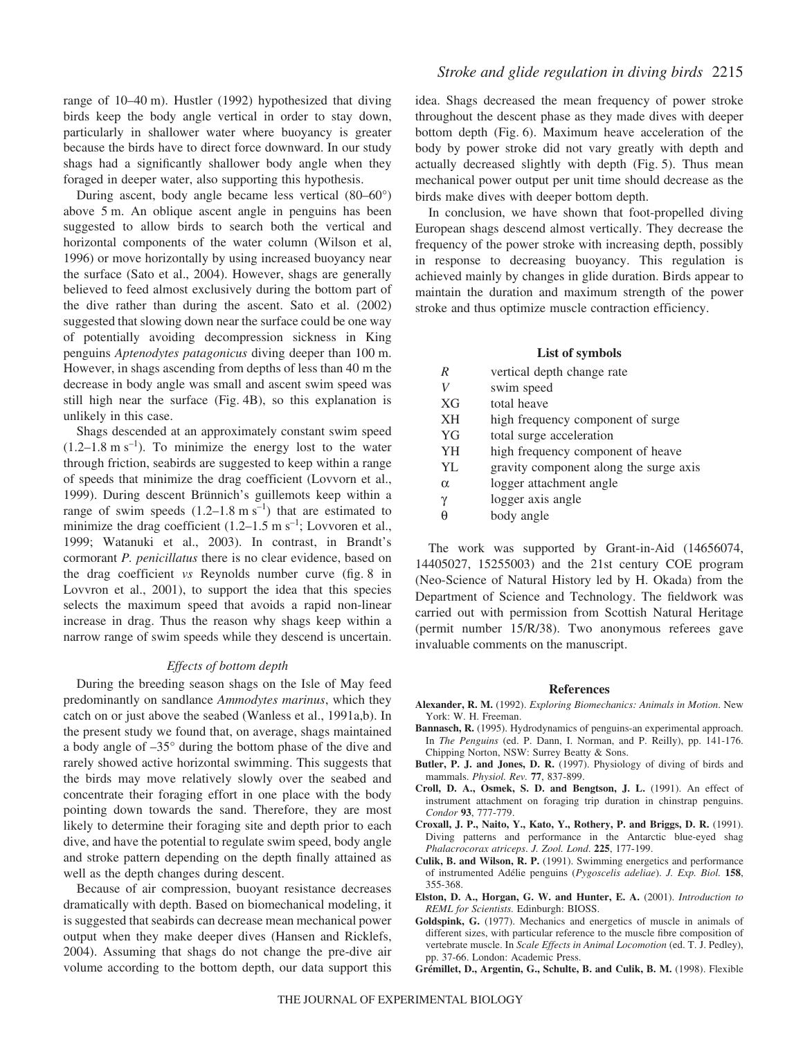range of 10–40 m). Hustler (1992) hypothesized that diving birds keep the body angle vertical in order to stay down, particularly in shallower water where buoyancy is greater because the birds have to direct force downward. In our study shags had a significantly shallower body angle when they foraged in deeper water, also supporting this hypothesis.

During ascent, body angle became less vertical (80–60°) above  $5m$ . An oblique ascent angle in penguins has been suggested to allow birds to search both the vertical and horizontal components of the water column (Wilson et al, 1996) or move horizontally by using increased buoyancy near the surface (Sato et al., 2004). However, shags are generally believed to feed almost exclusively during the bottom part of the dive rather than during the ascent. Sato et al. (2002) suggested that slowing down near the surface could be one way of potentially avoiding decompression sickness in King penguins *Aptenodytes patagonicus* diving deeper than 100·m. However, in shags ascending from depths of less than 40 m the decrease in body angle was small and ascent swim speed was still high near the surface (Fig. 4B), so this explanation is unlikely in this case.

Shags descended at an approximately constant swim speed  $(1.2-1.8~\mathrm{m~s}^{-1})$ . To minimize the energy lost to the water through friction, seabirds are suggested to keep within a range of speeds that minimize the drag coefficient (Lovvorn et al., 1999). During descent Brünnich's guillemots keep within a range of swim speeds  $(1.2-1.8 \text{ m s}^{-1})$  that are estimated to minimize the drag coefficient  $(1.2-1.5~\text{m s}^{-1})$ ; Lovvoren et al., 1999; Watanuki et al., 2003). In contrast, in Brandt's cormorant *P. penicillatus* there is no clear evidence, based on the drag coefficient *vs* Reynolds number curve (fig. 8 in Lovvron et al., 2001), to support the idea that this species selects the maximum speed that avoids a rapid non-linear increase in drag. Thus the reason why shags keep within a narrow range of swim speeds while they descend is uncertain.

#### *Effects of bottom depth*

During the breeding season shags on the Isle of May feed predominantly on sandlance *Ammodytes marinus*, which they catch on or just above the seabed (Wanless et al., 1991a,b). In the present study we found that, on average, shags maintained a body angle of –35° during the bottom phase of the dive and rarely showed active horizontal swimming. This suggests that the birds may move relatively slowly over the seabed and concentrate their foraging effort in one place with the body pointing down towards the sand. Therefore, they are most likely to determine their foraging site and depth prior to each dive, and have the potential to regulate swim speed, body angle and stroke pattern depending on the depth finally attained as well as the depth changes during descent.

Because of air compression, buoyant resistance decreases dramatically with depth. Based on biomechanical modeling, it is suggested that seabirds can decrease mean mechanical power output when they make deeper dives (Hansen and Ricklefs, 2004). Assuming that shags do not change the pre-dive air volume according to the bottom depth, our data support this idea. Shags decreased the mean frequency of power stroke throughout the descent phase as they made dives with deeper bottom depth (Fig. 6). Maximum heave acceleration of the body by power stroke did not vary greatly with depth and actually decreased slightly with depth (Fig. 5). Thus mean mechanical power output per unit time should decrease as the birds make dives with deeper bottom depth.

In conclusion, we have shown that foot-propelled diving European shags descend almost vertically. They decrease the frequency of the power stroke with increasing depth, possibly in response to decreasing buoyancy. This regulation is achieved mainly by changes in glide duration. Birds appear to maintain the duration and maximum strength of the power stroke and thus optimize muscle contraction efficiency.

### **List of symbols**

| $\boldsymbol{R}$ | vertical depth change rate             |
|------------------|----------------------------------------|
| V                | swim speed                             |
| XG               | total heave                            |
| <b>XH</b>        | high frequency component of surge      |
| YG               | total surge acceleration               |
| YH               | high frequency component of heave      |
| YL               | gravity component along the surge axis |
| $\alpha$         | logger attachment angle                |
| γ                | logger axis angle                      |
|                  | body angle                             |

The work was supported by Grant-in-Aid (14656074, 14405027, 15255003) and the 21st century COE program (Neo-Science of Natural History led by H. Okada) from the Department of Science and Technology. The fieldwork was carried out with permission from Scottish Natural Heritage (permit number 15/R/38). Two anonymous referees gave invaluable comments on the manuscript.

#### **References**

- **Alexander, R. M.** (1992). *Exploring Biomechanics: Animals in Motion*. New York: W. H. Freeman.
- **Bannasch, R.** (1995). Hydrodynamics of penguins-an experimental approach. In *The Penguins* (ed. P. Dann, I. Norman, and P. Reilly), pp. 141-176. Chipping Norton, NSW: Surrey Beatty & Sons.
- **Butler, P. J. and Jones, D. R.** (1997). Physiology of diving of birds and mammals. *Physiol. Rev.* **77**, 837-899.
- **Croll, D. A., Osmek, S. D. and Bengtson, J. L.** (1991). An effect of instrument attachment on foraging trip duration in chinstrap penguins. *Condor* **93**, 777-779.
- **Croxall, J. P., Naito, Y., Kato, Y., Rothery, P. and Briggs, D. R.** (1991). Diving patterns and performance in the Antarctic blue-eyed shag *Phalacrocorax atriceps*. *J. Zool. Lond*. **225**, 177-199.
- **Culik, B. and Wilson, R. P.** (1991). Swimming energetics and performance of instrumented Adélie penguins (*Pygoscelis adeliae*). *J. Exp. Biol.* **158**, 355-368.
- **Elston, D. A., Horgan, G. W. and Hunter, E. A.** (2001). *Introduction to REML for Scientists.* Edinburgh: BIOSS.
- **Goldspink, G.** (1977). Mechanics and energetics of muscle in animals of different sizes, with particular reference to the muscle fibre composition of vertebrate muscle. In *Scale Effects in Animal Locomotion* (ed. T. J. Pedley), pp. 37-66. London: Academic Press.
- **Grémillet, D., Argentin, G., Schulte, B. and Culik, B. M.** (1998). Flexible